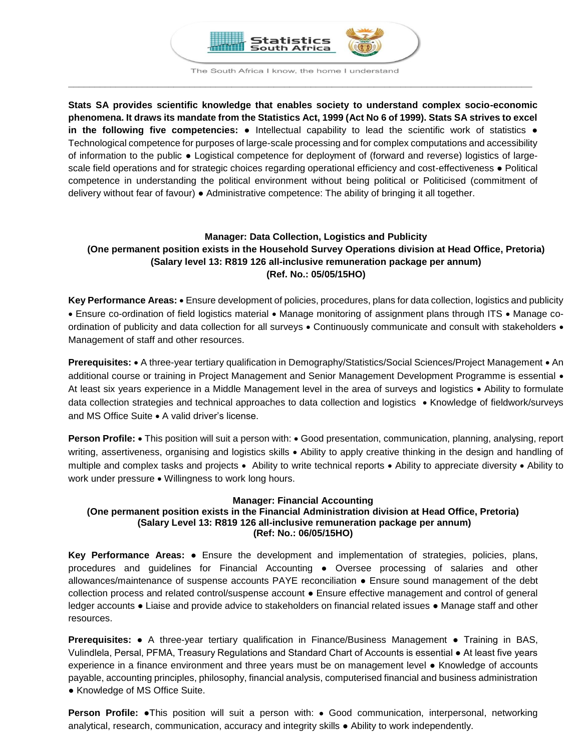

The South Africa I know, the home I understand **\_\_\_\_\_\_\_\_\_\_\_\_\_\_\_\_\_\_\_\_\_\_\_\_\_\_\_\_\_\_\_\_\_\_\_\_\_\_\_\_\_\_\_\_\_\_\_\_\_\_\_\_\_\_\_\_\_\_\_\_\_\_\_\_\_\_\_\_\_\_\_\_\_\_\_\_\_\_\_\_\_\_\_\_\_\_\_\_**

**Stats SA provides scientific knowledge that enables society to understand complex socio-economic phenomena. It draws its mandate from the Statistics Act, 1999 (Act No 6 of 1999). Stats SA strives to excel in the following five competencies:** ● Intellectual capability to lead the scientific work of statistics ● Technological competence for purposes of large-scale processing and for complex computations and accessibility of information to the public ● Logistical competence for deployment of (forward and reverse) logistics of largescale field operations and for strategic choices regarding operational efficiency and cost-effectiveness • Political competence in understanding the political environment without being political or Politicised (commitment of delivery without fear of favour) ● Administrative competence: The ability of bringing it all together.

# **Manager: Data Collection, Logistics and Publicity (One permanent position exists in the Household Survey Operations division at Head Office, Pretoria) (Salary level 13: R819 126 all-inclusive remuneration package per annum) (Ref. No.: 05/05/15HO)**

Key Performance Areas: • Ensure development of policies, procedures, plans for data collection, logistics and publicity • Ensure co-ordination of field logistics material • Manage monitoring of assignment plans through ITS • Manage coordination of publicity and data collection for all surveys . Continuously communicate and consult with stakeholders . Management of staff and other resources.

**Prerequisites:** • A three-year tertiary qualification in Demography/Statistics/Social Sciences/Project Management • An additional course or training in Project Management and Senior Management Development Programme is essential • At least six years experience in a Middle Management level in the area of surveys and logistics • Ability to formulate data collection strategies and technical approaches to data collection and logistics • Knowledge of fieldwork/surveys and MS Office Suite • A valid driver's license.

**Person Profile:** • This position will suit a person with: • Good presentation, communication, planning, analysing, report writing, assertiveness, organising and logistics skills • Ability to apply creative thinking in the design and handling of multiple and complex tasks and projects • Ability to write technical reports • Ability to appreciate diversity • Ability to work under pressure . Willingness to work long hours.

# **Manager: Financial Accounting**

# **(One permanent position exists in the Financial Administration division at Head Office, Pretoria) (Salary Level 13: R819 126 all-inclusive remuneration package per annum) (Ref: No.: 06/05/15HO)**

**Key Performance Areas:** ● Ensure the development and implementation of strategies, policies, plans, procedures and guidelines for Financial Accounting ● Oversee processing of salaries and other allowances/maintenance of suspense accounts PAYE reconciliation ● Ensure sound management of the debt collection process and related control/suspense account ● Ensure effective management and control of general ledger accounts ● Liaise and provide advice to stakeholders on financial related issues ● Manage staff and other resources.

**Prerequisites:** ● A three-year tertiary qualification in Finance/Business Management ● Training in BAS, Vulindlela, Persal, PFMA, Treasury Regulations and Standard Chart of Accounts is essential ● At least five years experience in a finance environment and three years must be on management level ● Knowledge of accounts payable, accounting principles, philosophy, financial analysis, computerised financial and business administration • Knowledge of MS Office Suite.

**Person Profile: ●This position will suit a person with: • Good communication, interpersonal, networking** analytical, research, communication, accuracy and integrity skills ● Ability to work independently.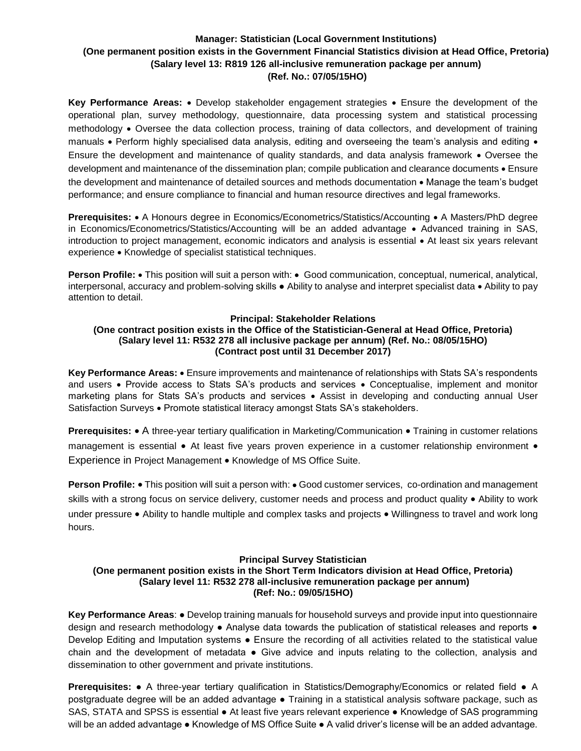# **Manager: Statistician (Local Government Institutions) (One permanent position exists in the Government Financial Statistics division at Head Office, Pretoria) (Salary level 13: R819 126 all-inclusive remuneration package per annum) (Ref. No.: 07/05/15HO)**

**Key Performance Areas:** • Develop stakeholder engagement strategies • Ensure the development of the operational plan, survey methodology, questionnaire, data processing system and statistical processing methodology • Oversee the data collection process, training of data collectors, and development of training manuals • Perform highly specialised data analysis, editing and overseeing the team's analysis and editing • Ensure the development and maintenance of quality standards, and data analysis framework • Oversee the development and maintenance of the dissemination plan; compile publication and clearance documents • Ensure the development and maintenance of detailed sources and methods documentation  $\bullet$  Manage the team's budget performance; and ensure compliance to financial and human resource directives and legal frameworks.

**Prerequisites:** • A Honours degree in Economics/Econometrics/Statistics/Accounting • A Masters/PhD degree in Economics/Econometrics/Statistics/Accounting will be an added advantage • Advanced training in SAS, introduction to project management, economic indicators and analysis is essential • At least six years relevant experience • Knowledge of specialist statistical techniques.

**Person Profile:** • This position will suit a person with: • Good communication, conceptual, numerical, analytical, interpersonal, accuracy and problem-solving skills ● Ability to analyse and interpret specialist data Ability to pay attention to detail.

## **Principal: Stakeholder Relations**

# **(One contract position exists in the Office of the Statistician-General at Head Office, Pretoria) (Salary level 11: R532 278 all inclusive package per annum) (Ref. No.: 08/05/15HO) (Contract post until 31 December 2017)**

**Key Performance Areas:** Ensure improvements and maintenance of relationships with Stats SA's respondents and users • Provide access to Stats SA's products and services • Conceptualise, implement and monitor marketing plans for Stats SA's products and services • Assist in developing and conducting annual User Satisfaction Surveys • Promote statistical literacy amongst Stats SA's stakeholders.

**Prerequisites:** • A three-year tertiary qualification in Marketing/Communication • Training in customer relations management is essential  $\bullet$  At least five years proven experience in a customer relationship environment  $\bullet$ Experience in Project Management • Knowledge of MS Office Suite.

**Person Profile:** • This position will suit a person with: • Good customer services, co-ordination and management skills with a strong focus on service delivery, customer needs and process and product quality . Ability to work under pressure • Ability to handle multiple and complex tasks and projects • Willingness to travel and work long hours.

#### **Principal Survey Statistician (One permanent position exists in the Short Term Indicators division at Head Office, Pretoria) (Salary level 11: R532 278 all-inclusive remuneration package per annum) (Ref: No.: 09/05/15HO)**

**Key Performance Areas**: ● Develop training manuals for household surveys and provide input into questionnaire design and research methodology • Analyse data towards the publication of statistical releases and reports • Develop Editing and Imputation systems ● Ensure the recording of all activities related to the statistical value chain and the development of metadata • Give advice and inputs relating to the collection, analysis and dissemination to other government and private institutions.

**Prerequisites:** ● A three-year tertiary qualification in Statistics/Demography/Economics or related field ● A postgraduate degree will be an added advantage ● Training in a statistical analysis software package, such as SAS, STATA and SPSS is essential ● At least five years relevant experience ● Knowledge of SAS programming will be an added advantage ● Knowledge of MS Office Suite ● A valid driver's license will be an added advantage.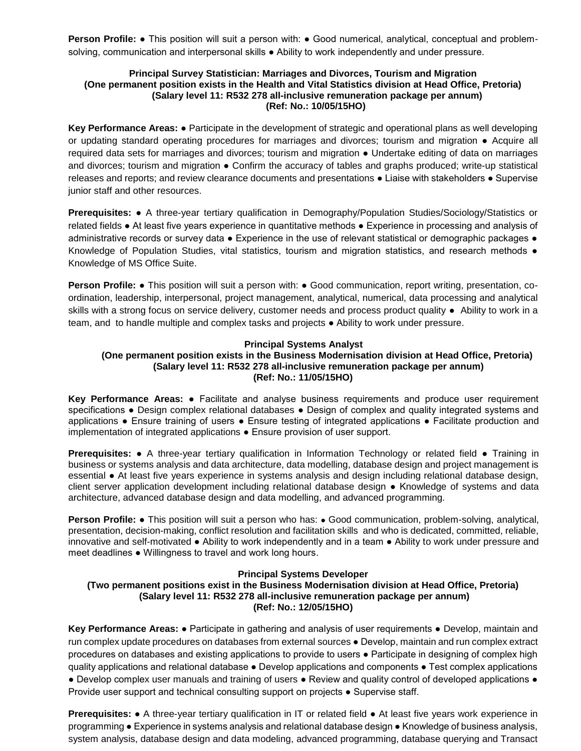**Person Profile:** • This position will suit a person with: • Good numerical, analytical, conceptual and problemsolving, communication and interpersonal skills • Ability to work independently and under pressure.

## **Principal Survey Statistician: Marriages and Divorces, Tourism and Migration (One permanent position exists in the Health and Vital Statistics division at Head Office, Pretoria) (Salary level 11: R532 278 all-inclusive remuneration package per annum) (Ref: No.: 10/05/15HO)**

**Key Performance Areas:** ● Participate in the development of strategic and operational plans as well developing or updating standard operating procedures for marriages and divorces; tourism and migration ● Acquire all required data sets for marriages and divorces; tourism and migration ● Undertake editing of data on marriages and divorces; tourism and migration • Confirm the accuracy of tables and graphs produced; write-up statistical releases and reports; and review clearance documents and presentations ● Liaise with stakeholders ● Supervise junior staff and other resources.

**Prerequisites:** ● A three-year tertiary qualification in Demography/Population Studies/Sociology/Statistics or related fields ● At least five years experience in quantitative methods ● Experience in processing and analysis of administrative records or survey data • Experience in the use of relevant statistical or demographic packages • Knowledge of Population Studies, vital statistics, tourism and migration statistics, and research methods  $\bullet$ Knowledge of MS Office Suite.

**Person Profile: •** This position will suit a person with: • Good communication, report writing, presentation, coordination, leadership, interpersonal, project management, analytical, numerical, data processing and analytical skills with a strong focus on service delivery, customer needs and process product quality ● Ability to work in a team, and to handle multiple and complex tasks and projects ● Ability to work under pressure.

## **Principal Systems Analyst**

# **(One permanent position exists in the Business Modernisation division at Head Office, Pretoria) (Salary level 11: R532 278 all-inclusive remuneration package per annum) (Ref: No.: 11/05/15HO)**

**Key Performance Areas:** ● Facilitate and analyse business requirements and produce user requirement specifications • Design complex relational databases • Design of complex and quality integrated systems and applications ● Ensure training of users ● Ensure testing of integrated applications ● Facilitate production and implementation of integrated applications ● Ensure provision of user support.

**Prerequisites:** ● A three-year tertiary qualification in Information Technology or related field ● Training in business or systems analysis and data architecture, data modelling, database design and project management is essential ● At least five years experience in systems analysis and design including relational database design, client server application development including relational database design ● Knowledge of systems and data architecture, advanced database design and data modelling, and advanced programming.

**Person Profile: •** This position will suit a person who has: • Good communication, problem-solving, analytical, presentation, decision-making, conflict resolution and facilitation skills and who is dedicated, committed, reliable, innovative and self-motivated ● Ability to work independently and in a team ● Ability to work under pressure and meet deadlines ● Willingness to travel and work long hours.

## **Principal Systems Developer**

## **(Two permanent positions exist in the Business Modernisation division at Head Office, Pretoria) (Salary level 11: R532 278 all-inclusive remuneration package per annum) (Ref: No.: 12/05/15HO)**

**Key Performance Areas:** ● Participate in gathering and analysis of user requirements ● Develop, maintain and run complex update procedures on databases from external sources ● Develop, maintain and run complex extract procedures on databases and existing applications to provide to users ● Participate in designing of complex high quality applications and relational database ● Develop applications and components ● Test complex applications ● Develop complex user manuals and training of users ● Review and quality control of developed applications ● Provide user support and technical consulting support on projects ● Supervise staff.

**Prerequisites:** ● A three-year tertiary qualification in IT or related field ● At least five years work experience in programming ● Experience in systems analysis and relational database design ● Knowledge of business analysis, system analysis, database design and data modeling, advanced programming, database querying and Transact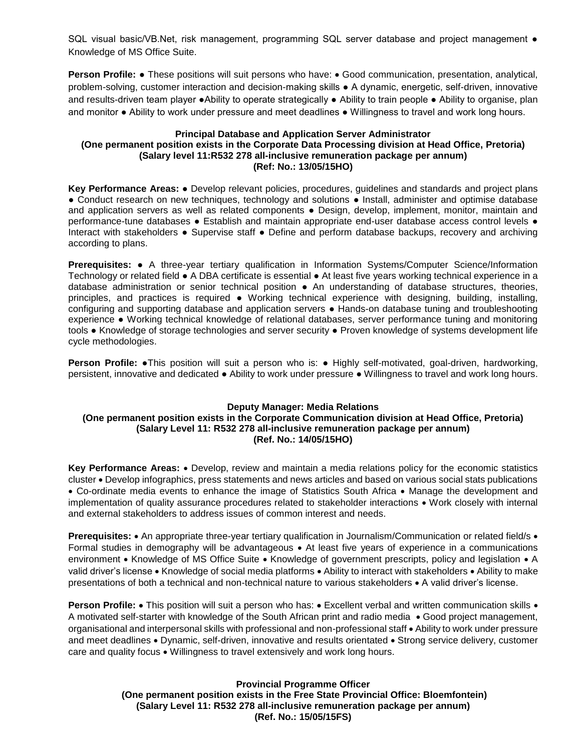SQL visual basic/VB.Net, risk management, programming SQL server database and project management ● Knowledge of MS Office Suite.

**Person Profile: •** These positions will suit persons who have: • Good communication, presentation, analytical, problem-solving, customer interaction and decision-making skills ● A dynamic, energetic, self-driven, innovative and results-driven team player ●Ability to operate strategically ● Ability to train people ● Ability to organise, plan and monitor ● Ability to work under pressure and meet deadlines ● Willingness to travel and work long hours.

### **Principal Database and Application Server Administrator (One permanent position exists in the Corporate Data Processing division at Head Office, Pretoria) (Salary level 11:R532 278 all-inclusive remuneration package per annum) (Ref: No.: 13/05/15HO)**

**Key Performance Areas:** ● Develop relevant policies, procedures, guidelines and standards and project plans ● Conduct research on new techniques, technology and solutions ● Install, administer and optimise database and application servers as well as related components • Design, develop, implement, monitor, maintain and performance-tune databases ● Establish and maintain appropriate end-user database access control levels ● Interact with stakeholders ● Supervise staff ● Define and perform database backups, recovery and archiving according to plans.

**Prerequisites:** ● A three-year tertiary qualification in Information Systems/Computer Science/Information Technology or related field ● A DBA certificate is essential ● At least five years working technical experience in a database administration or senior technical position • An understanding of database structures, theories, principles, and practices is required ● Working technical experience with designing, building, installing, configuring and supporting database and application servers ● Hands-on database tuning and troubleshooting experience ● Working technical knowledge of relational databases, server performance tuning and monitoring tools • Knowledge of storage technologies and server security • Proven knowledge of systems development life cycle methodologies.

**Person Profile: •This position will suit a person who is: • Highly self-motivated, goal-driven, hardworking,** persistent, innovative and dedicated ● Ability to work under pressure ● Willingness to travel and work long hours.

# **Deputy Manager: Media Relations (One permanent position exists in the Corporate Communication division at Head Office, Pretoria) (Salary Level 11: R532 278 all-inclusive remuneration package per annum) (Ref. No.: 14/05/15HO)**

**Key Performance Areas:**  Develop, review and maintain a media relations policy for the economic statistics cluster Develop infographics, press statements and news articles and based on various social stats publications • Co-ordinate media events to enhance the image of Statistics South Africa • Manage the development and implementation of quality assurance procedures related to stakeholder interactions • Work closely with internal and external stakeholders to address issues of common interest and needs.

**Prerequisites:** • An appropriate three-year tertiary qualification in Journalism/Communication or related field/s • Formal studies in demography will be advantageous • At least five years of experience in a communications environment • Knowledge of MS Office Suite • Knowledge of government prescripts, policy and legislation • A valid driver's license • Knowledge of social media platforms • Ability to interact with stakeholders • Ability to make presentations of both a technical and non-technical nature to various stakeholders  $\bullet$  A valid driver's license.

**Person Profile:** • This position will suit a person who has: • Excellent verbal and written communication skills • A motivated self-starter with knowledge of the South African print and radio media • Good project management, organisational and interpersonal skills with professional and non-professional staff Ability to work under pressure and meet deadlines • Dynamic, self-driven, innovative and results orientated • Strong service delivery, customer care and quality focus  $\bullet$  Willingness to travel extensively and work long hours.

# **Provincial Programme Officer (One permanent position exists in the Free State Provincial Office: Bloemfontein) (Salary Level 11: R532 278 all-inclusive remuneration package per annum) (Ref. No.: 15/05/15FS)**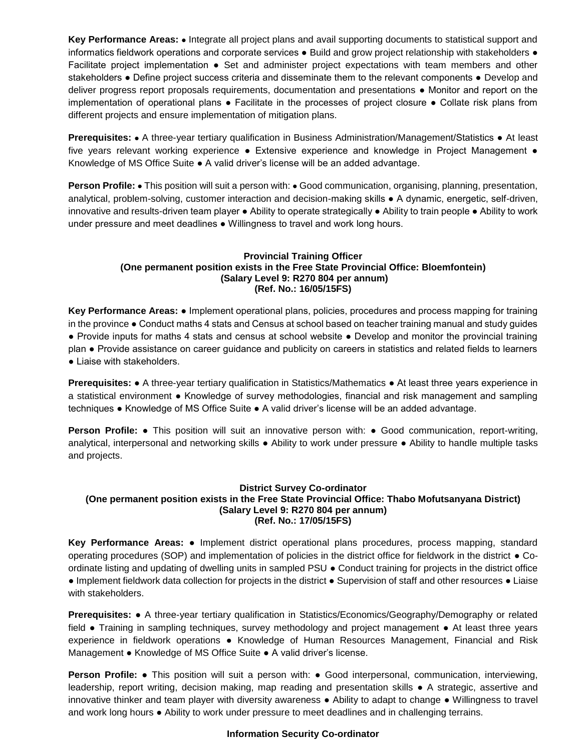Key Performance Areas:  $\bullet$  Integrate all project plans and avail supporting documents to statistical support and informatics fieldwork operations and corporate services ● Build and grow project relationship with stakeholders ● Facilitate project implementation • Set and administer project expectations with team members and other stakeholders • Define project success criteria and disseminate them to the relevant components • Develop and deliver progress report proposals requirements, documentation and presentations ● Monitor and report on the implementation of operational plans ● Facilitate in the processes of project closure ● Collate risk plans from different projects and ensure implementation of mitigation plans.

**Prerequisites: •** A three-year tertiary qualification in Business Administration/Management/Statistics • At least five years relevant working experience • Extensive experience and knowledge in Project Management • Knowledge of MS Office Suite ● A valid driver's license will be an added advantage.

**Person Profile: •** This position will suit a person with: • Good communication, organising, planning, presentation, analytical, problem-solving, customer interaction and decision-making skills ● A dynamic, energetic, self-driven, innovative and results-driven team player ● Ability to operate strategically ● Ability to train people ● Ability to work under pressure and meet deadlines . Willingness to travel and work long hours.

# **Provincial Training Officer (One permanent position exists in the Free State Provincial Office: Bloemfontein) (Salary Level 9: R270 804 per annum) (Ref. No.: 16/05/15FS)**

**Key Performance Areas:** ● Implement operational plans, policies, procedures and process mapping for training in the province ● Conduct maths 4 stats and Census at school based on teacher training manual and study guides ● Provide inputs for maths 4 stats and census at school website ● Develop and monitor the provincial training plan ● Provide assistance on career guidance and publicity on careers in statistics and related fields to learners • Liaise with stakeholders.

**Prerequisites: ●** A three-year tertiary qualification in Statistics/Mathematics ● At least three years experience in a statistical environment ● Knowledge of survey methodologies, financial and risk management and sampling techniques ● Knowledge of MS Office Suite ● A valid driver's license will be an added advantage.

**Person Profile:** ● This position will suit an innovative person with: ● Good communication, report-writing, analytical, interpersonal and networking skills ● Ability to work under pressure ● Ability to handle multiple tasks and projects.

# **District Survey Co-ordinator (One permanent position exists in the Free State Provincial Office: Thabo Mofutsanyana District) (Salary Level 9: R270 804 per annum) (Ref. No.: 17/05/15FS)**

**Key Performance Areas:** ● Implement district operational plans procedures, process mapping, standard operating procedures (SOP) and implementation of policies in the district office for fieldwork in the district ● Coordinate listing and updating of dwelling units in sampled PSU ● Conduct training for projects in the district office ● Implement fieldwork data collection for projects in the district ● Supervision of staff and other resources ● Liaise with stakeholders.

**Prerequisites:** ● A three-year tertiary qualification in Statistics/Economics/Geography/Demography or related field ● Training in sampling techniques, survey methodology and project management ● At least three years experience in fieldwork operations ● Knowledge of Human Resources Management, Financial and Risk Management ● Knowledge of MS Office Suite ● A valid driver's license.

**Person Profile:** • This position will suit a person with: • Good interpersonal, communication, interviewing, leadership, report writing, decision making, map reading and presentation skills ● A strategic, assertive and innovative thinker and team player with diversity awareness ● Ability to adapt to change ● Willingness to travel and work long hours ● Ability to work under pressure to meet deadlines and in challenging terrains.

# **Information Security Co-ordinator**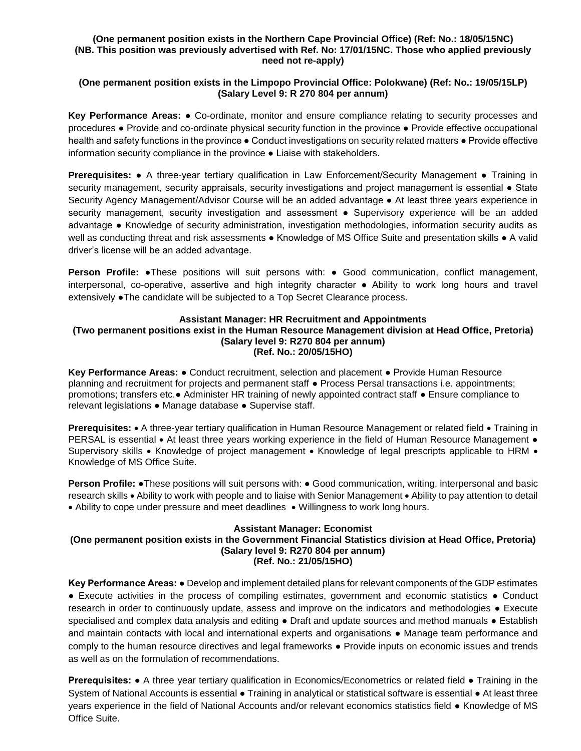## **(One permanent position exists in the Northern Cape Provincial Office) (Ref: No.: 18/05/15NC) (NB. This position was previously advertised with Ref. No: 17/01/15NC. Those who applied previously need not re-apply)**

# **(One permanent position exists in the Limpopo Provincial Office: Polokwane) (Ref: No.: 19/05/15LP) (Salary Level 9: R 270 804 per annum)**

**Key Performance Areas:** ● Co-ordinate, monitor and ensure compliance relating to security processes and procedures ● Provide and co-ordinate physical security function in the province ● Provide effective occupational health and safety functions in the province  $\bullet$  Conduct investigations on security related matters  $\bullet$  Provide effective information security compliance in the province ● Liaise with stakeholders.

**Prerequisites: ●** A three-year tertiary qualification in Law Enforcement/Security Management ● Training in security management, security appraisals, security investigations and project management is essential • State Security Agency Management/Advisor Course will be an added advantage ● At least three years experience in security management, security investigation and assessment • Supervisory experience will be an added advantage ● Knowledge of security administration, investigation methodologies, information security audits as well as conducting threat and risk assessments • Knowledge of MS Office Suite and presentation skills • A valid driver's license will be an added advantage.

Person Profile: •These positions will suit persons with: • Good communication, conflict management, interpersonal, co-operative, assertive and high integrity character ● Ability to work long hours and travel extensively ●The candidate will be subjected to a Top Secret Clearance process.

# **Assistant Manager: HR Recruitment and Appointments**

#### **(Two permanent positions exist in the Human Resource Management division at Head Office, Pretoria) (Salary level 9: R270 804 per annum) (Ref. No.: 20/05/15HO)**

**Key Performance Areas:** ● Conduct recruitment, selection and placement ● Provide Human Resource planning and recruitment for projects and permanent staff ● Process Persal transactions i.e. appointments; promotions; transfers etc.● Administer HR training of newly appointed contract staff ● Ensure compliance to relevant legislations ● Manage database ● Supervise staff.

Prerequisites: • A three-year tertiary qualification in Human Resource Management or related field • Training in PERSAL is essential • At least three years working experience in the field of Human Resource Management • Supervisory skills • Knowledge of project management • Knowledge of legal prescripts applicable to HRM • Knowledge of MS Office Suite.

**Person Profile: •**These positions will suit persons with: • Good communication, writing, interpersonal and basic research skills Ability to work with people and to liaise with Senior Management Ability to pay attention to detail • Ability to cope under pressure and meet deadlines • Willingness to work long hours.

# **Assistant Manager: Economist (One permanent position exists in the Government Financial Statistics division at Head Office, Pretoria) (Salary level 9: R270 804 per annum) (Ref. No.: 21/05/15HO)**

**Key Performance Areas: ●** Develop and implement detailed plans for relevant components of the GDP estimates **●** Execute activities in the process of compiling estimates, government and economic statistics **●** Conduct research in order to continuously update, assess and improve on the indicators and methodologies **●** Execute specialised and complex data analysis and editing **●** Draft and update sources and method manuals **●** Establish and maintain contacts with local and international experts and organisations **●** Manage team performance and comply to the human resource directives and legal frameworks **●** Provide inputs on economic issues and trends as well as on the formulation of recommendations.

**Prerequisites: ●** A three year tertiary qualification in Economics/Econometrics or related field **●** Training in the System of National Accounts is essential **●** Training in analytical or statistical software is essential **●** At least three years experience in the field of National Accounts and/or relevant economics statistics field **●** Knowledge of MS Office Suite.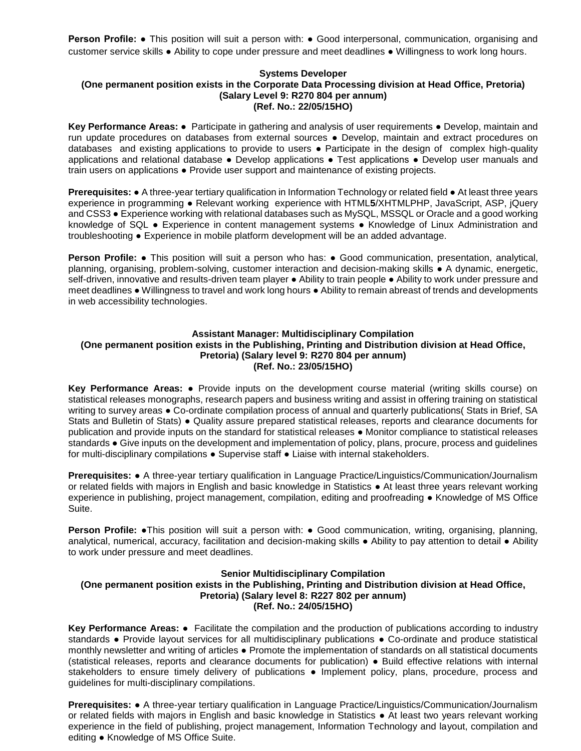**Person Profile: •** This position will suit a person with: • Good interpersonal, communication, organising and customer service skills **●** Ability to cope under pressure and meet deadlines **●** Willingness to work long hours.

#### **Systems Developer (One permanent position exists in the Corporate Data Processing division at Head Office, Pretoria) (Salary Level 9: R270 804 per annum) (Ref. No.: 22/05/15HO)**

**Key Performance Areas:** ● Participate in gathering and analysis of user requirements ● Develop, maintain and run update procedures on databases from external sources ● Develop, maintain and extract procedures on databases and existing applications to provide to users ● Participate in the design of complex high-quality applications and relational database ● Develop applications ● Test applications ● Develop user manuals and train users on applications ● Provide user support and maintenance of existing projects.

**Prerequisites: ●** A three-year tertiary qualification in Information Technology or related field ● At least three years experience in programming ● Relevant working experience with HTML**5**/XHTMLPHP, JavaScript, ASP, jQuery and CSS3 ● Experience working with relational databases such as MySQL, MSSQL or Oracle and a good working knowledge of SQL ● Experience in content management systems ● Knowledge of Linux Administration and troubleshooting ● Experience in mobile platform development will be an added advantage.

**Person Profile: •** This position will suit a person who has: • Good communication, presentation, analytical, planning, organising, problem-solving, customer interaction and decision-making skills ● A dynamic, energetic, self-driven, innovative and results-driven team player • Ability to train people • Ability to work under pressure and meet deadlines ● Willingness to travel and work long hours ● Ability to remain abreast of trends and developments in web accessibility technologies.

# **Assistant Manager: Multidisciplinary Compilation (One permanent position exists in the Publishing, Printing and Distribution division at Head Office, Pretoria) (Salary level 9: R270 804 per annum) (Ref. No.: 23/05/15HO)**

**Key Performance Areas:** ● Provide inputs on the development course material (writing skills course) on statistical releases monographs, research papers and business writing and assist in offering training on statistical writing to survey areas ● Co-ordinate compilation process of annual and quarterly publications( Stats in Brief, SA Stats and Bulletin of Stats) ● Quality assure prepared statistical releases, reports and clearance documents for publication and provide inputs on the standard for statistical releases ● Monitor compliance to statistical releases standards ● Give inputs on the development and implementation of policy, plans, procure, process and guidelines for multi-disciplinary compilations ● Supervise staff ● Liaise with internal stakeholders.

**Prerequisites:** ● A three-year tertiary qualification in Language Practice/Linguistics/Communication/Journalism or related fields with majors in English and basic knowledge in Statistics ● At least three years relevant working experience in publishing, project management, compilation, editing and proofreading ● Knowledge of MS Office Suite.

**Person Profile: •**This position will suit a person with: • Good communication, writing, organising, planning, analytical, numerical, accuracy, facilitation and decision-making skills ● Ability to pay attention to detail ● Ability to work under pressure and meet deadlines.

## **Senior Multidisciplinary Compilation (One permanent position exists in the Publishing, Printing and Distribution division at Head Office, Pretoria) (Salary level 8: R227 802 per annum) (Ref. No.: 24/05/15HO)**

**Key Performance Areas:** ● Facilitate the compilation and the production of publications according to industry standards ● Provide layout services for all multidisciplinary publications ● Co-ordinate and produce statistical monthly newsletter and writing of articles ● Promote the implementation of standards on all statistical documents (statistical releases, reports and clearance documents for publication) ● Build effective relations with internal stakeholders to ensure timely delivery of publications • Implement policy, plans, procedure, process and guidelines for multi-disciplinary compilations.

**Prerequisites:** ● A three-year tertiary qualification in Language Practice/Linguistics/Communication/Journalism or related fields with majors in English and basic knowledge in Statistics ● At least two years relevant working experience in the field of publishing, project management, Information Technology and layout, compilation and editing ● Knowledge of MS Office Suite.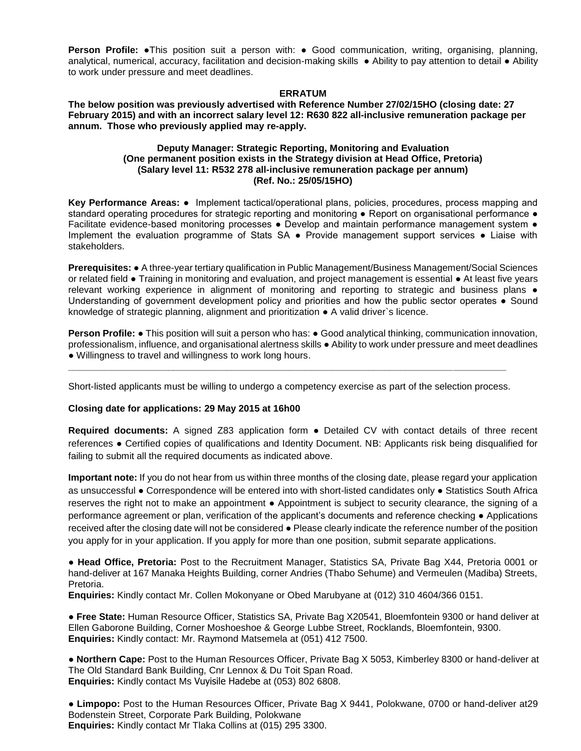**Person Profile: ●This position suit a person with: ● Good communication, writing, organising, planning,** analytical, numerical, accuracy, facilitation and decision-making skills · Ability to pay attention to detail · Ability to work under pressure and meet deadlines.

#### **ERRATUM**

**The below position was previously advertised with Reference Number 27/02/15HO (closing date: 27 February 2015) and with an incorrect salary level 12: R630 822 all-inclusive remuneration package per annum. Those who previously applied may re-apply.**

### **Deputy Manager: Strategic Reporting, Monitoring and Evaluation (One permanent position exists in the Strategy division at Head Office, Pretoria) (Salary level 11: R532 278 all-inclusive remuneration package per annum) (Ref. No.: 25/05/15HO)**

**Key Performance Areas:** ● Implement tactical/operational plans, policies, procedures, process mapping and standard operating procedures for strategic reporting and monitoring • Report on organisational performance • Facilitate evidence-based monitoring processes . Develop and maintain performance management system . Implement the evaluation programme of Stats SA ● Provide management support services ● Liaise with stakeholders.

**Prerequisites:** ● A three-year tertiary qualification in Public Management/Business Management/Social Sciences or related field ● Training in monitoring and evaluation, and project management is essential ● At least five years relevant working experience in alignment of monitoring and reporting to strategic and business plans ● Understanding of government development policy and priorities and how the public sector operates ● Sound knowledge of strategic planning, alignment and prioritization ● A valid driver`s licence.

**Person Profile: •** This position will suit a person who has: • Good analytical thinking, communication innovation, professionalism, influence, and organisational alertness skills ● Ability to work under pressure and meet deadlines ● Willingness to travel and willingness to work long hours.

Short-listed applicants must be willing to undergo a competency exercise as part of the selection process.

**\_\_\_\_\_\_\_\_\_\_\_\_\_\_\_\_\_\_\_\_\_\_\_\_\_\_\_\_\_\_\_\_\_\_\_\_\_\_\_\_\_\_\_\_\_\_\_\_\_\_\_\_\_\_\_\_\_\_\_\_\_\_\_\_\_\_\_\_\_\_\_\_\_\_\_\_\_\_\_\_\_\_\_**

## **Closing date for applications: 29 May 2015 at 16h00**

**Required documents:** A signed Z83 application form ● Detailed CV with contact details of three recent references ● Certified copies of qualifications and Identity Document. NB: Applicants risk being disqualified for failing to submit all the required documents as indicated above.

**Important note:** If you do not hear from us within three months of the closing date, please regard your application as unsuccessful ● Correspondence will be entered into with short-listed candidates only ● Statistics South Africa reserves the right not to make an appointment ● Appointment is subject to security clearance, the signing of a performance agreement or plan, verification of the applicant's documents and reference checking ● Applications received after the closing date will not be considered ● Please clearly indicate the reference number of the position you apply for in your application. If you apply for more than one position, submit separate applications.

● **Head Office, Pretoria:** Post to the Recruitment Manager, Statistics SA, Private Bag X44, Pretoria 0001 or hand-deliver at 167 Manaka Heights Building, corner Andries (Thabo Sehume) and Vermeulen (Madiba) Streets, Pretoria.

**Enquiries:** Kindly contact Mr. Collen Mokonyane or Obed Marubyane at (012) 310 4604/366 0151.

● **Free State:** Human Resource Officer, Statistics SA, Private Bag X20541, Bloemfontein 9300 or hand deliver at Ellen Gaborone Building, Corner Moshoeshoe & George Lubbe Street, Rocklands, Bloemfontein, 9300. **Enquiries:** Kindly contact: Mr. Raymond Matsemela at (051) 412 7500.

● **Northern Cape:** Post to the Human Resources Officer, Private Bag X 5053, Kimberley 8300 or hand-deliver at The Old Standard Bank Building, Cnr Lennox & Du Toit Span Road. **Enquiries:** Kindly contact Ms Vuyisile Hadebe at (053) 802 6808.

● **Limpopo:** Post to the Human Resources Officer, Private Bag X 9441, Polokwane, 0700 or hand-deliver at29 Bodenstein Street, Corporate Park Building, Polokwane **Enquiries:** Kindly contact Mr Tlaka Collins at (015) 295 3300.